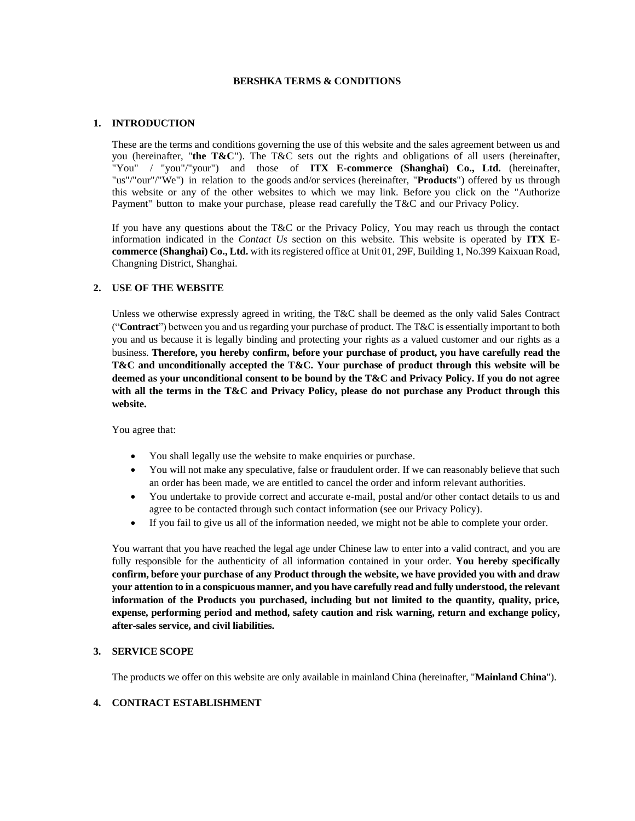#### **BERSHKA TERMS & CONDITIONS**

### **1. INTRODUCTION**

These are the terms and conditions governing the use of this website and the sales agreement between us and you (hereinafter, "**the T&C**"). The T&C sets out the rights and obligations of all users (hereinafter, "You" / "you"/"your") and those of **ITX E-commerce (Shanghai) Co., Ltd.** (hereinafter, "us"/"our"/"We") in relation to the goods and/or services (hereinafter, "**Products**") offered by us through this website or any of the other websites to which we may link. Before you click on the "Authorize Payment" button to make your purchase, please read carefully the T&C and our Privacy Policy.

If you have any questions about the T&C or the Privacy Policy, You may reach us through the contact information indicated in the *Contact Us* section on this website. This website is operated by **ITX Ecommerce (Shanghai) Co., Ltd.** with its registered office at Unit 01, 29F, Building 1, No.399 Kaixuan Road, Changning District, Shanghai.

## **2. USE OF THE WEBSITE**

Unless we otherwise expressly agreed in writing, the T&C shall be deemed as the only valid Sales Contract ("**Contract**") between you and us regarding your purchase of product. The T&C is essentially important to both you and us because it is legally binding and protecting your rights as a valued customer and our rights as a business. **Therefore, you hereby confirm, before your purchase of product, you have carefully read the T&C and unconditionally accepted the T&C. Your purchase of product through this website will be deemed as your unconditional consent to be bound by the T&C and Privacy Policy. If you do not agree with all the terms in the T&C and Privacy Policy, please do not purchase any Product through this website.**

You agree that:

- You shall legally use the website to make enquiries or purchase.
- You will not make any speculative, false or fraudulent order. If we can reasonably believe that such an order has been made, we are entitled to cancel the order and inform relevant authorities.
- You undertake to provide correct and accurate e-mail, postal and/or other contact details to us and agree to be contacted through such contact information (see our Privacy Policy).
- If you fail to give us all of the information needed, we might not be able to complete your order.

You warrant that you have reached the legal age under Chinese law to enter into a valid contract, and you are fully responsible for the authenticity of all information contained in your order. **You hereby specifically confirm, before your purchase of any Product through the website, we have provided you with and draw your attention to in a conspicuous manner, and you have carefully read and fully understood, the relevant information of the Products you purchased, including but not limited to the quantity, quality, price, expense, performing period and method, safety caution and risk warning, return and exchange policy, after-sales service, and civil liabilities.**

#### **3. SERVICE SCOPE**

The products we offer on this website are only available in mainland China (hereinafter, "**Mainland China**").

## **4. CONTRACT ESTABLISHMENT**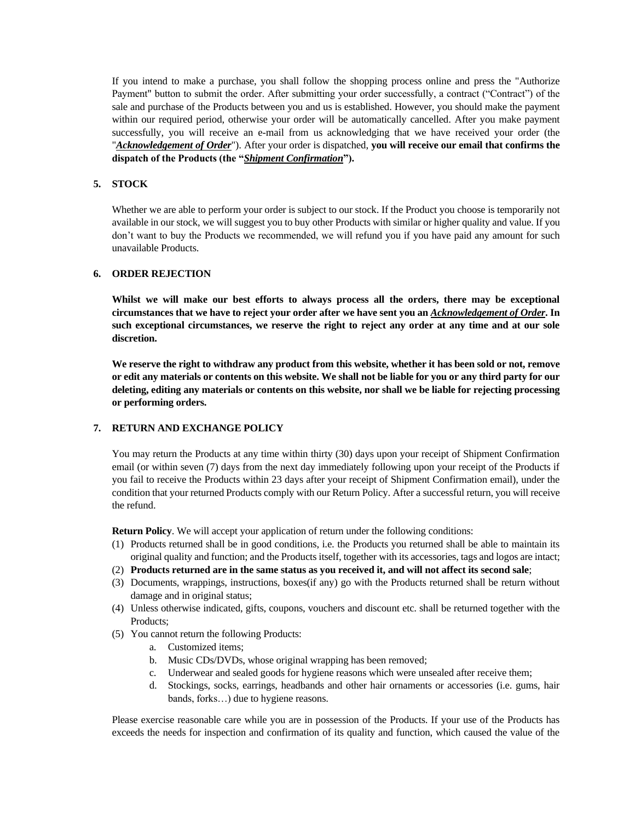If you intend to make a purchase, you shall follow the shopping process online and press the "Authorize Payment" button to submit the order. After submitting your order successfully, a contract ("Contract") of the sale and purchase of the Products between you and us is established. However, you should make the payment within our required period, otherwise your order will be automatically cancelled. After you make payment successfully, you will receive an e-mail from us acknowledging that we have received your order (the "*Acknowledgement of Order*"). After your order is dispatched, **you will receive our email that confirms the dispatch of the Products (the "***Shipment Confirmation***").** 

## **5. STOCK**

Whether we are able to perform your order is subject to our stock. If the Product you choose is temporarily not available in our stock, we will suggest you to buy other Products with similar or higher quality and value. If you don't want to buy the Products we recommended, we will refund you if you have paid any amount for such unavailable Products.

### **6. ORDER REJECTION**

**Whilst we will make our best efforts to always process all the orders, there may be exceptional circumstances that we have to reject your order after we have sent you an** *Acknowledgement of Order***. In such exceptional circumstances, we reserve the right to reject any order at any time and at our sole discretion.**

**We reserve the right to withdraw any product from this website, whether it has been sold or not, remove or edit any materials or contents on this website. We shall not be liable for you or any third party for our deleting, editing any materials or contents on this website, nor shall we be liable for rejecting processing or performing orders.** 

## **7. RETURN AND EXCHANGE POLICY**

You may return the Products at any time within thirty (30) days upon your receipt of Shipment Confirmation email (or within seven (7) days from the next day immediately following upon your receipt of the Products if you fail to receive the Products within 23 days after your receipt of Shipment Confirmation email), under the condition that your returned Products comply with our Return Policy. After a successful return, you will receive the refund.

**Return Policy**. We will accept your application of return under the following conditions:

- (1) Products returned shall be in good conditions, i.e. the Products you returned shall be able to maintain its original quality and function; and the Products itself, together with its accessories, tags and logos are intact;
- (2) **Products returned are in the same status as you received it, and will not affect its second sale**;
- (3) Documents, wrappings, instructions, boxes(if any) go with the Products returned shall be return without damage and in original status;
- (4) Unless otherwise indicated, gifts, coupons, vouchers and discount etc. shall be returned together with the Products;
- (5) You cannot return the following Products:
	- a. Customized items;
	- b. Music CDs/DVDs, whose original wrapping has been removed;
	- c. Underwear and sealed goods for hygiene reasons which were unsealed after receive them;
	- d. Stockings, socks, earrings, headbands and other hair ornaments or accessories (i.e. gums, hair bands, forks…) due to hygiene reasons.

Please exercise reasonable care while you are in possession of the Products. If your use of the Products has exceeds the needs for inspection and confirmation of its quality and function, which caused the value of the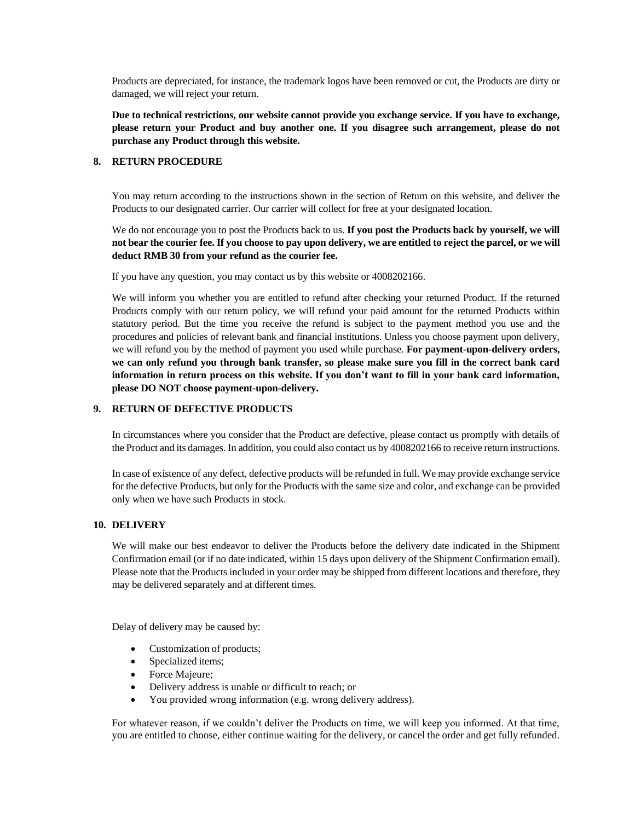Products are depreciated, for instance, the trademark logos have been removed or cut, the Products are dirty or damaged, we will reject your return.

**Due to technical restrictions, our website cannot provide you exchange service. If you have to exchange, please return your Product and buy another one. If you disagree such arrangement, please do not purchase any Product through this website.** 

### **8. RETURN PROCEDURE**

You may return according to the instructions shown in the section of Return on this website, and deliver the Products to our designated carrier. Our carrier will collect for free at your designated location.

We do not encourage you to post the Products back to us. **If you post the Products back by yourself, we will not bear the courier fee. If you choose to pay upon delivery, we are entitled to reject the parcel, or we will deduct RMB 30 from your refund as the courier fee.**

If you have any question, you may contact us by this website or 4008202166.

We will inform you whether you are entitled to refund after checking your returned Product. If the returned Products comply with our return policy, we will refund your paid amount for the returned Products within statutory period. But the time you receive the refund is subject to the payment method you use and the procedures and policies of relevant bank and financial institutions. Unless you choose payment upon delivery, we will refund you by the method of payment you used while purchase. **For payment-upon-delivery orders, we can only refund you through bank transfer, so please make sure you fill in the correct bank card information in return process on this website. If you don't want to fill in your bank card information, please DO NOT choose payment-upon-delivery.** 

## **9. RETURN OF DEFECTIVE PRODUCTS**

In circumstances where you consider that the Product are defective, please contact us promptly with details of the Product and its damages. In addition, you could also contact us by 4008202166 to receive return instructions.

In case of existence of any defect, defective products will be refunded in full. We may provide exchange service for the defective Products, but only for the Products with the same size and color, and exchange can be provided only when we have such Products in stock.

### **10. DELIVERY**

We will make our best endeavor to deliver the Products before the delivery date indicated in the Shipment Confirmation email (or if no date indicated, within 15 days upon delivery of the Shipment Confirmation email). Please note that the Products included in your order may be shipped from different locations and therefore, they may be delivered separately and at different times.

Delay of delivery may be caused by:

- Customization of products;
- Specialized items;
- Force Majeure;
- Delivery address is unable or difficult to reach; or
- You provided wrong information (e.g. wrong delivery address).

For whatever reason, if we couldn't deliver the Products on time, we will keep you informed. At that time, you are entitled to choose, either continue waiting for the delivery, or cancel the order and get fully refunded.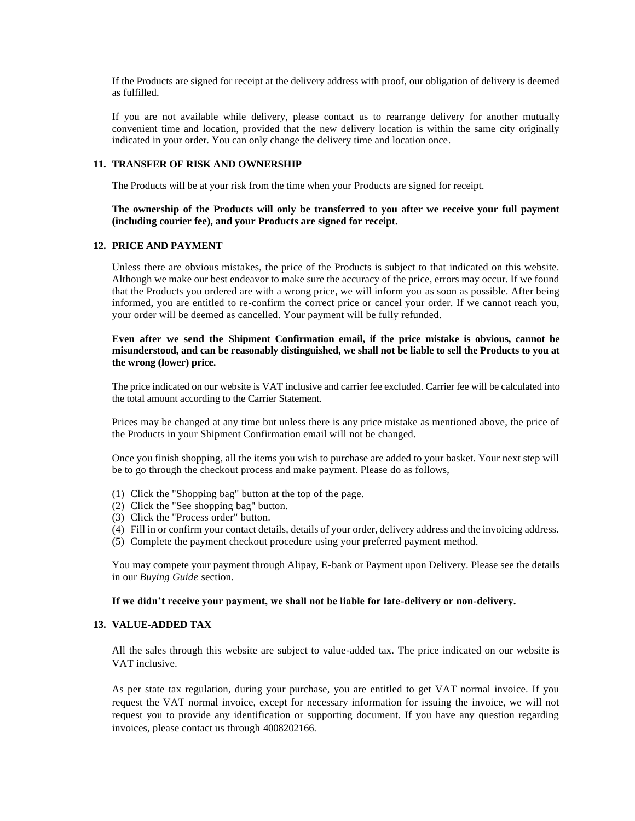If the Products are signed for receipt at the delivery address with proof, our obligation of delivery is deemed as fulfilled.

If you are not available while delivery, please contact us to rearrange delivery for another mutually convenient time and location, provided that the new delivery location is within the same city originally indicated in your order. You can only change the delivery time and location once.

### **11. TRANSFER OF RISK AND OWNERSHIP**

The Products will be at your risk from the time when your Products are signed for receipt.

## **The ownership of the Products will only be transferred to you after we receive your full payment (including courier fee), and your Products are signed for receipt.**

#### **12. PRICE AND PAYMENT**

Unless there are obvious mistakes, the price of the Products is subject to that indicated on this website. Although we make our best endeavor to make sure the accuracy of the price, errors may occur. If we found that the Products you ordered are with a wrong price, we will inform you as soon as possible. After being informed, you are entitled to re-confirm the correct price or cancel your order. If we cannot reach you, your order will be deemed as cancelled. Your payment will be fully refunded.

## **Even after we send the Shipment Confirmation email, if the price mistake is obvious, cannot be misunderstood, and can be reasonably distinguished, we shall not be liable to sell the Products to you at the wrong (lower) price.**

The price indicated on our website is VAT inclusive and carrier fee excluded. Carrier fee will be calculated into the total amount according to the Carrier Statement.

Prices may be changed at any time but unless there is any price mistake as mentioned above, the price of the Products in your Shipment Confirmation email will not be changed.

Once you finish shopping, all the items you wish to purchase are added to your basket. Your next step will be to go through the checkout process and make payment. Please do as follows,

- (1) Click the "Shopping bag" button at the top of the page.
- (2) Click the "See shopping bag" button.
- (3) Click the "Process order" button.
- (4) Fill in or confirm your contact details, details of your order, delivery address and the invoicing address.
- (5) Complete the payment checkout procedure using your preferred payment method.

You may compete your payment through Alipay, E-bank or Payment upon Delivery. Please see the details in our *Buying Guide* section.

#### **If we didn't receive your payment, we shall not be liable for late-delivery or non-delivery.**

# **13. VALUE-ADDED TAX**

All the sales through this website are subject to value-added tax. The price indicated on our website is VAT inclusive.

As per state tax regulation, during your purchase, you are entitled to get VAT normal invoice. If you request the VAT normal invoice, except for necessary information for issuing the invoice, we will not request you to provide any identification or supporting document. If you have any question regarding invoices, please contact us through 4008202166.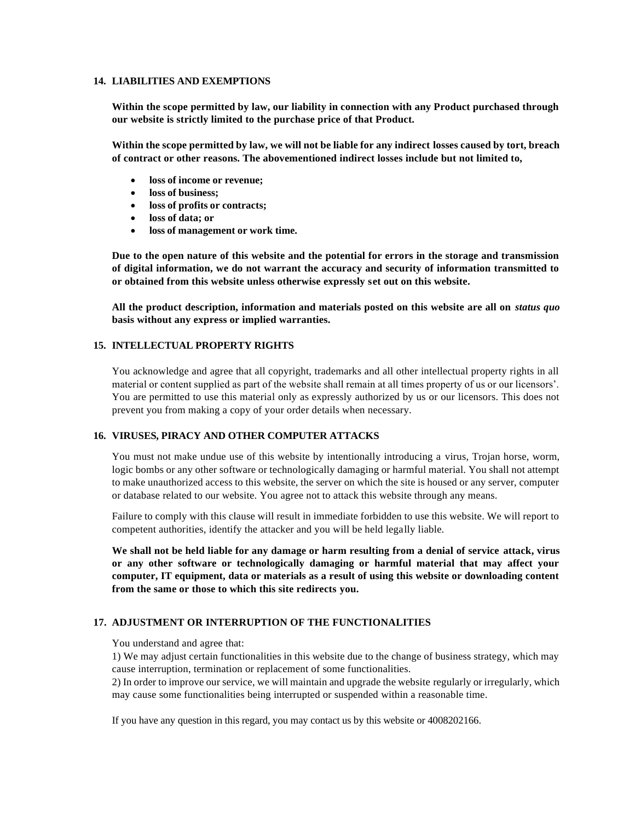#### **14. LIABILITIES AND EXEMPTIONS**

**Within the scope permitted by law, our liability in connection with any Product purchased through our website is strictly limited to the purchase price of that Product.**

**Within the scope permitted by law, we will not be liable for any indirect losses caused by tort, breach of contract or other reasons. The abovementioned indirect losses include but not limited to,** 

- **loss of income or revenue;**
- **loss of business;**
- **loss of profits or contracts;**
- **loss of data; or**
- **loss of management or work time.**

**Due to the open nature of this website and the potential for errors in the storage and transmission of digital information, we do not warrant the accuracy and security of information transmitted to or obtained from this website unless otherwise expressly set out on this website.**

**All the product description, information and materials posted on this website are all on** *status quo*  **basis without any express or implied warranties.**

## **15. INTELLECTUAL PROPERTY RIGHTS**

You acknowledge and agree that all copyright, trademarks and all other intellectual property rights in all material or content supplied as part of the website shall remain at all times property of us or our licensors'. You are permitted to use this material only as expressly authorized by us or our licensors. This does not prevent you from making a copy of your order details when necessary.

### **16. VIRUSES, PIRACY AND OTHER COMPUTER ATTACKS**

You must not make undue use of this website by intentionally introducing a virus, Trojan horse, worm, logic bombs or any other software or technologically damaging or harmful material. You shall not attempt to make unauthorized access to this website, the server on which the site is housed or any server, computer or database related to our website. You agree not to attack this website through any means.

Failure to comply with this clause will result in immediate forbidden to use this website. We will report to competent authorities, identify the attacker and you will be held legally liable.

**We shall not be held liable for any damage or harm resulting from a denial of service attack, virus or any other software or technologically damaging or harmful material that may affect your computer, IT equipment, data or materials as a result of using this website or downloading content from the same or those to which this site redirects you.**

#### **17. ADJUSTMENT OR INTERRUPTION OF THE FUNCTIONALITIES**

You understand and agree that:

1) We may adjust certain functionalities in this website due to the change of business strategy, which may cause interruption, termination or replacement of some functionalities.

2) In order to improve our service, we will maintain and upgrade the website regularly or irregularly, which may cause some functionalities being interrupted or suspended within a reasonable time.

If you have any question in this regard, you may contact us by this website or 4008202166.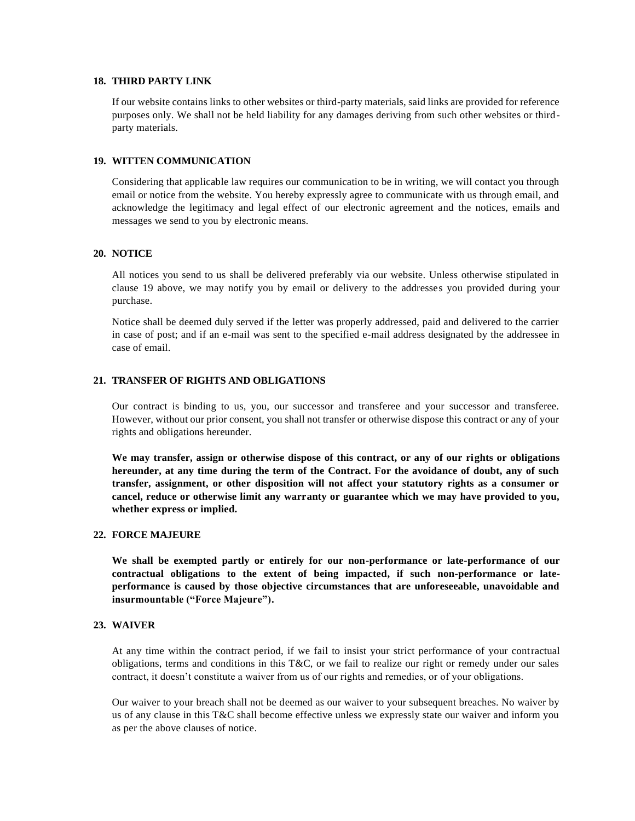### **18. THIRD PARTY LINK**

If our website contains links to other websites or third-party materials, said links are provided for reference purposes only. We shall not be held liability for any damages deriving from such other websites or thirdparty materials.

#### **19. WITTEN COMMUNICATION**

Considering that applicable law requires our communication to be in writing, we will contact you through email or notice from the website. You hereby expressly agree to communicate with us through email, and acknowledge the legitimacy and legal effect of our electronic agreement and the notices, emails and messages we send to you by electronic means.

### **20. NOTICE**

All notices you send to us shall be delivered preferably via our website. Unless otherwise stipulated in clause 19 above, we may notify you by email or delivery to the addresses you provided during your purchase.

Notice shall be deemed duly served if the letter was properly addressed, paid and delivered to the carrier in case of post; and if an e-mail was sent to the specified e-mail address designated by the addressee in case of email.

#### **21. TRANSFER OF RIGHTS AND OBLIGATIONS**

Our contract is binding to us, you, our successor and transferee and your successor and transferee. However, without our prior consent, you shall not transfer or otherwise dispose this contract or any of your rights and obligations hereunder.

**We may transfer, assign or otherwise dispose of this contract, or any of our rights or obligations hereunder, at any time during the term of the Contract. For the avoidance of doubt, any of such transfer, assignment, or other disposition will not affect your statutory rights as a consumer or cancel, reduce or otherwise limit any warranty or guarantee which we may have provided to you, whether express or implied.**

## **22. FORCE MAJEURE**

**We shall be exempted partly or entirely for our non-performance or late-performance of our contractual obligations to the extent of being impacted, if such non-performance or lateperformance is caused by those objective circumstances that are unforeseeable, unavoidable and insurmountable ("Force Majeure").**

## **23. WAIVER**

At any time within the contract period, if we fail to insist your strict performance of your contractual obligations, terms and conditions in this T&C, or we fail to realize our right or remedy under our sales contract, it doesn't constitute a waiver from us of our rights and remedies, or of your obligations.

Our waiver to your breach shall not be deemed as our waiver to your subsequent breaches. No waiver by us of any clause in this T&C shall become effective unless we expressly state our waiver and inform you as per the above clauses of notice.